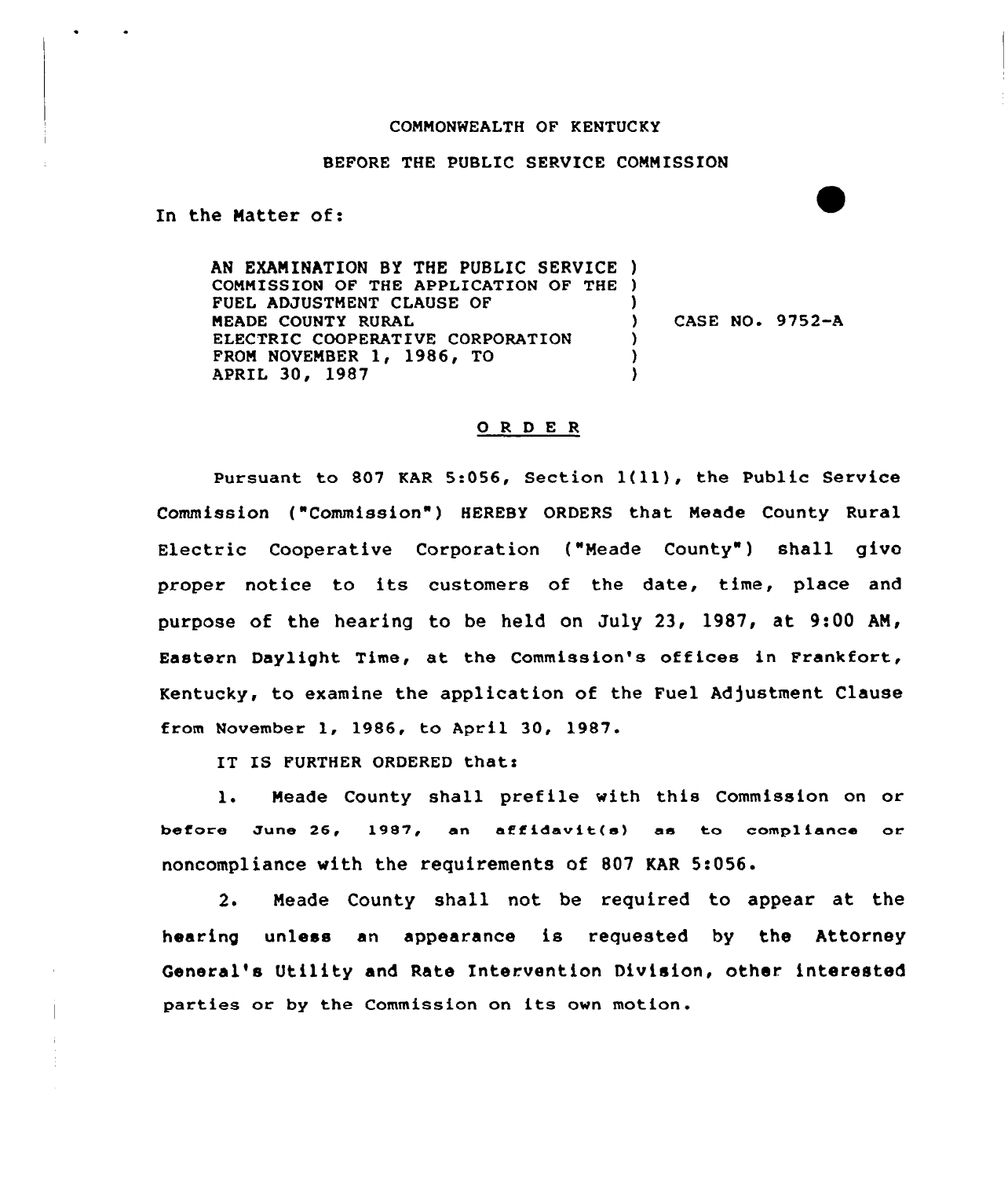## COMMONWEALTH OF KENTUCKY

## BEFORE THE PUBLIC SERVICE COMMISSION

In the Natter of:

AN EXAMINATION BY THE PUBLIC SERVICE ) COMMISSION OF THE APPLICATION OF THE FUEL ADJUSTMENT CLAUSE OF 1 MEADE COUNTY RURAL ) CASE NO. 9752-A ELECTRIC COOPERATIVE CORPORATION ) FROM NOVEMBER 1, 1986, TO )<br>) APRIL 30, 1987

## 0 <sup>R</sup> <sup>D</sup> E <sup>R</sup>

Pursuant to <sup>807</sup> KAR 5:056, Section l(11), the Public Service Commission ("Commission") HEREBY ORDERS that Meade County Rural Electric Cooperative Corporation ("Meade County") shall give proper notice to its customers of the date, time, place and purpose of the hearing to be held on July 23, 1987, at 9:00 AN, Eastern Daylight Time, at the Commission's offices in Frankfort, Kentucky, to examine the application of the Fuel Adjustment Clause from November 1, 1986, to April 30, 1987.

IT IS FURTHER ORDERED thats

l. Meade County shall prefile with this Commission on or before June 26, 1987, an affidavit(s) as to compliance or noncompliance with the requirements of 807 KAR 5:056.

2. Meade County shall not be required to appear at the hearing unless an appearance is requested by the Attorney General's Utility and Rate Intervention Division, other interested parties or by the Commission on its own motion.